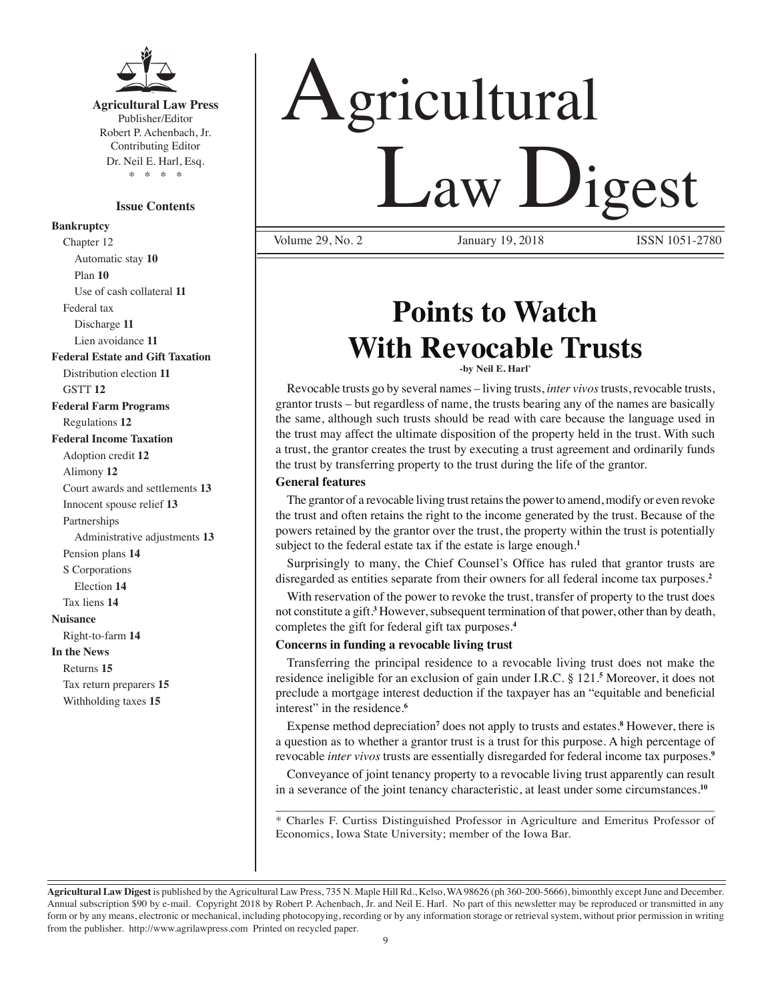

**Agricultural Law Press** Publisher/Editor Robert P. Achenbach, Jr. Contributing Editor Dr. Neil E. Harl, Esq. \* \* \* \*

#### **Issue Contents**

#### **Bankruptcy**

Chapter 12 Automatic stay **10** Plan **10** Use of cash collateral **11** Federal tax Discharge **11** Lien avoidance **11 Federal Estate and Gift Taxation** Distribution election **11** GSTT **12 Federal Farm Programs** Regulations **12 Federal Income Taxation** Adoption credit **12** Alimony **12** Court awards and settlements **13** Innocent spouse relief **13** Partnerships Administrative adjustments **13** Pension plans **14** S Corporations Election **14** Tax liens **14 Nuisance** Right-to-farm **14 In the News** Returns **15** Tax return preparers **15** Withholding taxes **15**

# Agricultural Law Digest

Volume 29, No. 2 **ISSN 1051-2780** January 19, 2018 **ISSN 1051-2780** 

## **Points to Watch With Revocable Trusts**

**-by Neil E. Harl\*** 

Revocable trusts go by several names – living trusts, *inter vivos* trusts, revocable trusts, grantor trusts – but regardless of name, the trusts bearing any of the names are basically the same, although such trusts should be read with care because the language used in the trust may affect the ultimate disposition of the property held in the trust. With such a trust, the grantor creates the trust by executing a trust agreement and ordinarily funds the trust by transferring property to the trust during the life of the grantor.

#### **General features**

The grantor of a revocable living trust retains the power to amend, modify or even revoke the trust and often retains the right to the income generated by the trust. Because of the powers retained by the grantor over the trust, the property within the trust is potentially subject to the federal estate tax if the estate is large enough.**<sup>1</sup>**

 Surprisingly to many, the Chief Counsel's Office has ruled that grantor trusts are disregarded as entities separate from their owners for all federal income tax purposes.**<sup>2</sup>**

With reservation of the power to revoke the trust, transfer of property to the trust does not constitute a gift.**<sup>3</sup>** However, subsequent termination of that power, other than by death, completes the gift for federal gift tax purposes.**<sup>4</sup>**

#### **Concerns in funding a revocable living trust**

Transferring the principal residence to a revocable living trust does not make the residence ineligible for an exclusion of gain under I.R.C. § 121.**<sup>5</sup>** Moreover, it does not preclude a mortgage interest deduction if the taxpayer has an "equitable and beneficial interest" in the residence.**<sup>6</sup>**

Expense method depreciation**<sup>7</sup>** does not apply to trusts and estates.**<sup>8</sup>** However, there is a question as to whether a grantor trust is a trust for this purpose. A high percentage of revocable *inter vivos* trusts are essentially disregarded for federal income tax purposes.**<sup>9</sup>**

Conveyance of joint tenancy property to a revocable living trust apparently can result in a severance of the joint tenancy characteristic, at least under some circumstances.**<sup>10</sup>**

\_\_\_\_\_\_\_\_\_\_\_\_\_\_\_\_\_\_\_\_\_\_\_\_\_\_\_\_\_\_\_\_\_\_\_\_\_\_\_\_\_\_\_\_\_\_\_\_\_\_\_\_\_\_\_\_\_\_\_\_\_\_\_\_\_\_\_\_\_\_ \* Charles F. Curtiss Distinguished Professor in Agriculture and Emeritus Professor of Economics, Iowa State University; member of the Iowa Bar.

**Agricultural Law Digest** is published by the Agricultural Law Press, 735 N. Maple Hill Rd., Kelso, WA 98626 (ph 360-200-5666), bimonthly except June and December. Annual subscription \$90 by e-mail. Copyright 2018 by Robert P. Achenbach, Jr. and Neil E. Harl. No part of this newsletter may be reproduced or transmitted in any form or by any means, electronic or mechanical, including photocopying, recording or by any information storage or retrieval system, without prior permission in writing from the publisher. http://www.agrilawpress.com Printed on recycled paper.